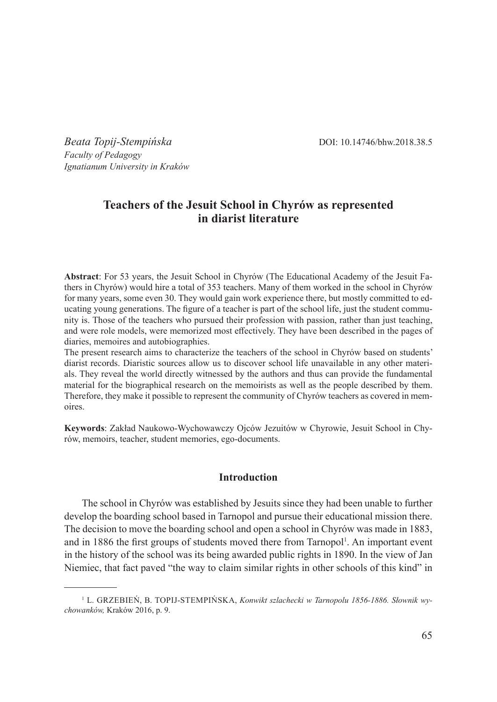*Beata Topij-Stempińska* DOI: 10.14746/bhw.2018.38.5 *Faculty of Pedagogy Ignatianum University in Kraków*

# **Teachers of the Jesuit School in Chyrów as represented in diarist literature**

**Abstract**: For 53 years, the Jesuit School in Chyrów (The Educational Academy of the Jesuit Fathers in Chyrów) would hire a total of 353 teachers. Many of them worked in the school in Chyrów for many years, some even 30. They would gain work experience there, but mostly committed to educating young generations. The figure of a teacher is part of the school life, just the student community is. Those of the teachers who pursued their profession with passion, rather than just teaching, and were role models, were memorized most effectively. They have been described in the pages of diaries, memoires and autobiographies.

The present research aims to characterize the teachers of the school in Chyrów based on students' diarist records. Diaristic sources allow us to discover school life unavailable in any other materials. They reveal the world directly witnessed by the authors and thus can provide the fundamental material for the biographical research on the memoirists as well as the people described by them. Therefore, they make it possible to represent the community of Chyrów teachers as covered in memoires.

**Keywords**: Zakład Naukowo-Wychowawczy Ojców Jezuitów w Chyrowie, Jesuit School in Chyrów, memoirs, teacher, student memories, ego-documents.

### **Introduction**

The school in Chyrów was established by Jesuits since they had been unable to further develop the boarding school based in Tarnopol and pursue their educational mission there. The decision to move the boarding school and open a school in Chyrów was made in 1883, and in 1886 the first groups of students moved there from Tarnopol<sup>1</sup>. An important event in the history of the school was its being awarded public rights in 1890. In the view of Jan Niemiec, that fact paved "the way to claim similar rights in other schools of this kind" in

<sup>&</sup>lt;sup>1</sup> L. GRZEBIEŇ, B. TOPIJ-STEMPIŃSKA, *Konwikt szlachecki w Tarnopolu 1856-1886. Słownik wychowanków,* Kraków 2016, p. 9.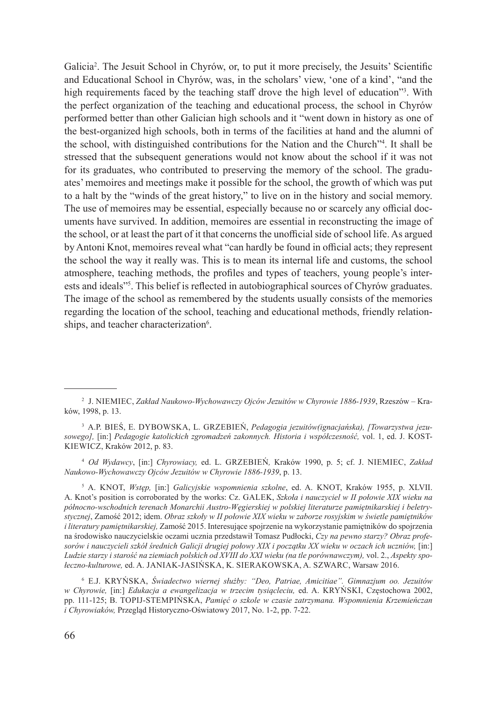Galicia<sup>2</sup>. The Jesuit School in Chyrów, or, to put it more precisely, the Jesuits' Scientific and Educational School in Chyrów, was, in the scholars' view, 'one of a kind', "and the high requirements faced by the teaching staff drove the high level of education"<sup>3</sup> . With the perfect organization of the teaching and educational process, the school in Chyrów performed better than other Galician high schools and it "went down in history as one of the best-organized high schools, both in terms of the facilities at hand and the alumni of the school, with distinguished contributions for the Nation and the Church"4 . It shall be stressed that the subsequent generations would not know about the school if it was not for its graduates, who contributed to preserving the memory of the school. The graduates' memoires and meetings make it possible for the school, the growth of which was put to a halt by the "winds of the great history," to live on in the history and social memory. The use of memoires may be essential, especially because no or scarcely any official documents have survived. In addition, memoires are essential in reconstructing the image of the school, or at least the part of it that concerns the unofficial side of school life. As argued by Antoni Knot, memoires reveal what "can hardly be found in official acts; they represent the school the way it really was. This is to mean its internal life and customs, the school atmosphere, teaching methods, the profiles and types of teachers, young people's interests and ideals"<sup>5</sup> . This belief is reflected in autobiographical sources of Chyrów graduates. The image of the school as remembered by the students usually consists of the memories regarding the location of the school, teaching and educational methods, friendly relationships, and teacher characterization<sup>6</sup>.

<sup>4</sup> *Od Wydawcy*, [in:] *Chyrowiacy,* ed. L. Grzebień*,* Kraków 1990, p. 5; cf. J. Niemiec, *Zakład Naukowo-Wychowawczy Ojców Jezuitów w Chyrowie 1886-1939*, p. 13.

<sup>5</sup> A. KNOT, *Wstęp,* [in:] *Galicyjskie wspomnienia szkolne*, ed. A. KNOT, Kraków 1955, p. XLVII. A. Knot's position is corroborated by the works: Cz. GALEK, *Szkoła i nauczyciel w II połowie XIX wieku na północno-wschodnich terenach Monarchii Austro-Węgierskiej w polskiej literaturze pamiętnikarskiej i beletrystycznej*, Zamość 2012; idem. *Obraz szkoły w II połowie XIX wieku w zaborze rosyjskim w świetle pamiętników i literatury pamiętnikarskiej,* Zamość 2015. Interesujące spojrzenie na wykorzystanie pamiętników do spojrzenia na środowisko nauczycielskie oczami ucznia przedstawił Tomasz Pudłocki, *Czy na pewno starzy? Obraz profesorów i nauczycieli szkół średnich Galicji drugiej połowy XIX i początku XX wieku w oczach ich uczniów,* [in:] *Ludzie starzy i starość na ziemiach polskich od XVIII do XXI wieku (na tle porównawczym),* vol. 2., *Aspekty społeczno-kulturowe,* ed. A. Janiak-Jasińska, K. Sierakowska, A. Szwarc, Warsaw 2016.

<sup>6</sup> E.J. Kryńska, *Świadectwo wiernej służby: "Deo, Patriae, Amicitiae". Gimnazjum oo. Jezuitów w Chyrowie,* [in:] *Edukacja a ewangelizacja w trzecim tysiącleciu,* ed. A. Kryński, Częstochowa 2002, pp. 111-125; B. Topij-Stempińska, *Pamięć o szkole w czasie zatrzymana. Wspomnienia Krzemieńczan i Chyrowiaków,* Przegląd Historyczno-Oświatowy 2017, No. 1-2, pp. 7-22.

<sup>2</sup> J. Niemiec, *Zakład Naukowo-Wychowawczy Ojców Jezuitów w Chyrowie 1886-1939*, Rzeszów – Kraków, 1998, p. 13.

<sup>&</sup>lt;sup>3</sup> A.P. BIES, E. DYBOWSKA, L. GRZEBIEN, *Pedagogia jezuitów (ignacjańska), [Towarzystwa jezusowego],* [in:] *Pedagogie katolickich zgromadzeń zakonnych. Historia i współczesność,* vol. 1, ed. J. Kostkiewicz, Kraków 2012, p. 83.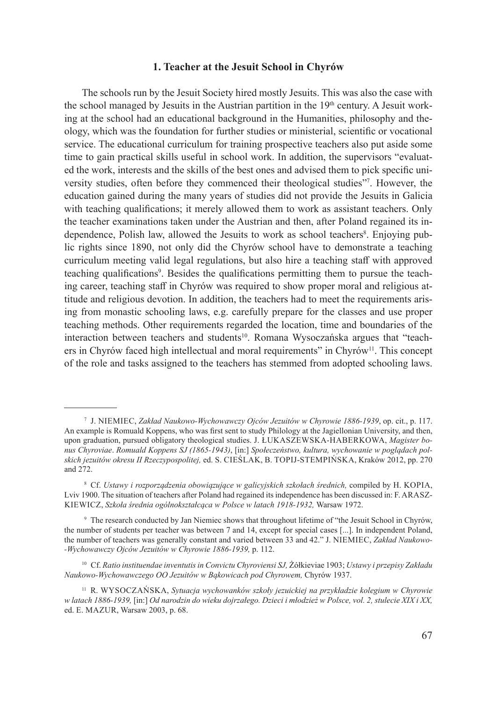## **1. Teacher at the Jesuit School in Chyrów**

The schools run by the Jesuit Society hired mostly Jesuits. This was also the case with the school managed by Jesuits in the Austrian partition in the  $19<sup>th</sup>$  century. A Jesuit working at the school had an educational background in the Humanities, philosophy and theology, which was the foundation for further studies or ministerial, scientific or vocational service. The educational curriculum for training prospective teachers also put aside some time to gain practical skills useful in school work. In addition, the supervisors "evaluated the work, interests and the skills of the best ones and advised them to pick specific university studies, often before they commenced their theological studies"7 . However, the education gained during the many years of studies did not provide the Jesuits in Galicia with teaching qualifications; it merely allowed them to work as assistant teachers. Only the teacher examinations taken under the Austrian and then, after Poland regained its independence, Polish law, allowed the Jesuits to work as school teachers<sup>8</sup>. Enjoying public rights since 1890, not only did the Chyrów school have to demonstrate a teaching curriculum meeting valid legal regulations, but also hire a teaching staff with approved teaching qualifications<sup>9</sup>. Besides the qualifications permitting them to pursue the teaching career, teaching staff in Chyrów was required to show proper moral and religious attitude and religious devotion. In addition, the teachers had to meet the requirements arising from monastic schooling laws, e.g. carefully prepare for the classes and use proper teaching methods. Other requirements regarded the location, time and boundaries of the interaction between teachers and students<sup>10</sup>. Romana Wysoczańska argues that "teachers in Chyrów faced high intellectual and moral requirements" in Chyrów<sup>11</sup>. This concept of the role and tasks assigned to the teachers has stemmed from adopted schooling laws.

<sup>7</sup> J. Niemiec, *Zakład Naukowo-Wychowawczy Ojców Jezuitów w Chyrowie 1886-1939*, op. cit., p. 117. An example is Romuald Koppens, who was first sent to study Philology at the Jagiellonian University, and then, upon graduation, pursued obligatory theological studies. J. ŁUKASZEWSKA-HABERKOWA, *Magister bonus Chyroviae*. *Romuald Koppens SJ (1865-1943)*, [in:] *Społeczeństwo, kultura, wychowanie w poglądach polskich jezuitów okresu II Rzeczypospolitej,* ed. S. Cieślak, B. Topij-Stempińska, Kraków 2012, pp. 270 and 272.

<sup>&</sup>lt;sup>8</sup> Cf. *Ustawy i rozporządzenia obowiązujące w galicyjskich szkołach średnich*, compiled by H. KOPIA, Lviv 1900. The situation of teachers after Poland had regained its independence has been discussed in: F. ARASZkiewicz, *Szkoła średnia ogólnokształcąca w Polsce w latach 1918-1932,* Warsaw 1972.

<sup>9</sup> The research conducted by Jan Niemiec shows that throughout lifetime of "the Jesuit School in Chyrów, the number of students per teacher was between 7 and 14, except for special cases [...]. In independent Poland, the number of teachers was generally constant and varied between 33 and 42." J. Niemiec, *Zakład Naukowo- -Wychowawczy Ojców Jezuitów w Chyrowie 1886-1939,* p. 112.

<sup>10</sup> Cf. *Ratio instituendae inventutis in Convictu Chyroviensi SJ,* Żółkieviae 1903; *Ustawy i przepisy Zakładu Naukowo-Wychowawczego OO Jezuitów w Bąkowicach pod Chyrowem,* Chyrów 1937.

<sup>11</sup> R. Wysoczańska, *Sytuacja wychowanków szkoły jezuickiej na przykładzie kolegium w Chyrowie w latach 1886-1939,* [in:] *Od narodzin do wieku dojrzałego. Dzieci i młodzież w Polsce, vol. 2, stulecie XIX i XX,*  ed. E. Mazur, Warsaw 2003, p. 68.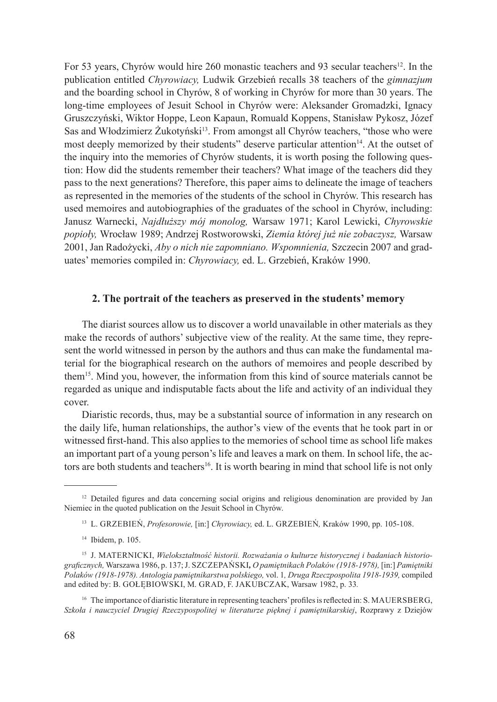For 53 years, Chyrów would hire 260 monastic teachers and 93 secular teachers<sup>12</sup>. In the publication entitled *Chyrowiacy,* Ludwik Grzebień recalls 38 teachers of the *gimnazjum* and the boarding school in Chyrów, 8 of working in Chyrów for more than 30 years. The long-time employees of Jesuit School in Chyrów were: Aleksander Gromadzki, Ignacy Gruszczyński, Wiktor Hoppe, Leon Kapaun, Romuald Koppens, Stanisław Pykosz, Józef Sas and Włodzimierz Żukotyński<sup>13</sup>. From amongst all Chyrów teachers, "those who were most deeply memorized by their students" deserve particular attention<sup>14</sup>. At the outset of the inquiry into the memories of Chyrów students, it is worth posing the following question: How did the students remember their teachers? What image of the teachers did they pass to the next generations? Therefore, this paper aims to delineate the image of teachers as represented in the memories of the students of the school in Chyrów. This research has used memoires and autobiographies of the graduates of the school in Chyrów, including: Janusz Warnecki, *Najdłuższy mój monolog,* Warsaw 1971; Karol Lewicki, *Chyrowskie popioły,* Wrocław 1989; Andrzej Rostworowski, *Ziemia której już nie zobaczysz,* Warsaw 2001, Jan Radożycki, *Aby o nich nie zapomniano. Wspomnienia,* Szczecin 2007 and graduates' memories compiled in: *Chyrowiacy,* ed. L. Grzebień, Kraków 1990.

## **2. The portrait of the teachers as preserved in the students' memory**

The diarist sources allow us to discover a world unavailable in other materials as they make the records of authors' subjective view of the reality. At the same time, they represent the world witnessed in person by the authors and thus can make the fundamental material for the biographical research on the authors of memoires and people described by them15. Mind you, however, the information from this kind of source materials cannot be regarded as unique and indisputable facts about the life and activity of an individual they cover.

Diaristic records, thus, may be a substantial source of information in any research on the daily life, human relationships, the author's view of the events that he took part in or witnessed first-hand. This also applies to the memories of school time as school life makes an important part of a young person's life and leaves a mark on them. In school life, the actors are both students and teachers<sup>16</sup>. It is worth bearing in mind that school life is not only

<sup>&</sup>lt;sup>12</sup> Detailed figures and data concerning social origins and religious denomination are provided by Jan Niemiec in the quoted publication on the Jesuit School in Chyrów.

<sup>13</sup> L. Grzebień, *Profesorowie,* [in:] *Chyrowiacy,* ed. L. Grzebień*,* Kraków 1990, pp. 105-108.

<sup>14</sup> Ibidem, p. 105.

<sup>&</sup>lt;sup>15</sup> J. MATERNICKI, *Wielokształtność historii. Rozważania o kulturze historycznej i badaniach historiograficznych,* Warszawa 1986, p. 137; J. Szczepański*, O pamiętnikach Polaków (1918-1978),* [in:] *Pamiętniki Polaków (1918-1978). Antologia pamiętnikarstwa polskiego,* vol. 1*, Druga Rzeczpospolita 1918-1939,* compiled and edited by: B. GOŁĘBIOWSKI, M. GRAD, F. JAKUBCZAK, Warsaw 1982, p. 33.

<sup>&</sup>lt;sup>16</sup> The importance of diaristic literature in representing teachers' profiles is reflected in: S. MAUERSBERG, *Szkoła i nauczyciel Drugiej Rzeczypospolitej w literaturze pięknej i pamiętnikarskiej*, Rozprawy z Dziejów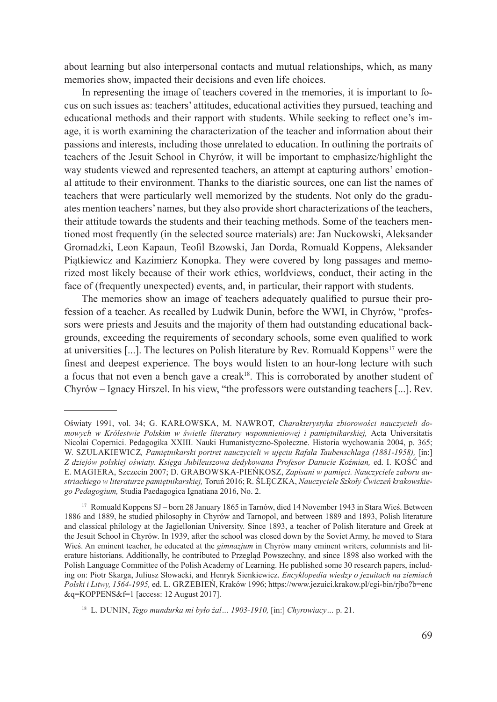about learning but also interpersonal contacts and mutual relationships, which, as many memories show, impacted their decisions and even life choices.

In representing the image of teachers covered in the memories, it is important to focus on such issues as: teachers' attitudes, educational activities they pursued, teaching and educational methods and their rapport with students. While seeking to reflect one's image, it is worth examining the characterization of the teacher and information about their passions and interests, including those unrelated to education. In outlining the portraits of teachers of the Jesuit School in Chyrów, it will be important to emphasize/highlight the way students viewed and represented teachers, an attempt at capturing authors' emotional attitude to their environment. Thanks to the diaristic sources, one can list the names of teachers that were particularly well memorized by the students. Not only do the graduates mention teachers' names, but they also provide short characterizations of the teachers, their attitude towards the students and their teaching methods. Some of the teachers mentioned most frequently (in the selected source materials) are: Jan Nuckowski, Aleksander Gromadzki, Leon Kapaun, Teofil Bzowski, Jan Dorda, Romuald Koppens, Aleksander Piątkiewicz and Kazimierz Konopka. They were covered by long passages and memorized most likely because of their work ethics, worldviews, conduct, their acting in the face of (frequently unexpected) events, and, in particular, their rapport with students.

The memories show an image of teachers adequately qualified to pursue their profession of a teacher. As recalled by Ludwik Dunin, before the WWI, in Chyrów, "professors were priests and Jesuits and the majority of them had outstanding educational backgrounds, exceeding the requirements of secondary schools, some even qualified to work at universities [...]. The lectures on Polish literature by Rev. Romuald Koppens<sup>17</sup> were the finest and deepest experience. The boys would listen to an hour-long lecture with such a focus that not even a bench gave a creak18. This is corroborated by another student of Chyrów – Ignacy Hirszel. In his view, "the professors were outstanding teachers [...]. Rev.

Oświaty 1991, vol. 34; G. Karłowska, M. Nawrot, *Charakterystyka zbiorowości nauczycieli domowych w Królestwie Polskim w świetle literatury wspomnieniowej i pamiętnikarskiej,* Acta Universitatis Nicolai Copernici. Pedagogika XXIII. Nauki Humanistyczno-Społeczne. Historia wychowania 2004, p. 365; W. Szulakiewicz*, Pamiętnikarski portret nauczycieli w ujęciu Rafała Taubenschlaga (1881-1958),* [in:] *Z dziejów polskiej oświaty. Księga Jubileuszowa dedykowana Profesor Danucie Koźmian,* ed. I. Kość and E. Magiera, Szczecin 2007; D. Grabowska-Pieńkosz, *Zapisani w pamięci. Nauczyciele zaboru austriackiego w literaturze pamiętnikarskiej,* Toruń 2016; R. Ślęczka, *Nauczyciele Szkoły Ćwiczeń krakowskiego Pedagogium,* Studia Paedagogica Ignatiana 2016, No. 2.

<sup>17</sup> Romuald Koppens SJ – born 28 January 1865 in Tarnów, died 14 November 1943 in Stara Wieś. Between 1886 and 1889, he studied philosophy in Chyrów and Tarnopol, and between 1889 and 1893, Polish literature and classical philology at the Jagiellonian University. Since 1893, a teacher of Polish literature and Greek at the Jesuit School in Chyrów. In 1939, after the school was closed down by the Soviet Army, he moved to Stara Wieś. An eminent teacher, he educated at the *gimnazjum* in Chyrów many eminent writers, columnists and literature historians. Additionally, he contributed to Przegląd Powszechny, and since 1898 also worked with the Polish Language Committee of the Polish Academy of Learning. He published some 30 research papers, including on: Piotr Skarga, Juliusz Słowacki, and Henryk Sienkiewicz. *Encyklopedia wiedzy o jezuitach na ziemiach Polski i Litwy, 1564-1995,* ed. L. Grzebień, Kraków 1996; https://www.jezuici.krakow.pl/cgi-bin/rjbo?b=enc &q=KOPPENS&f=1 [access: 12 August 2017].

<sup>18</sup> L. Dunin, *Tego mundurka mi było żal… 1903-1910,* [in:] *Chyrowiacy…* p. 21.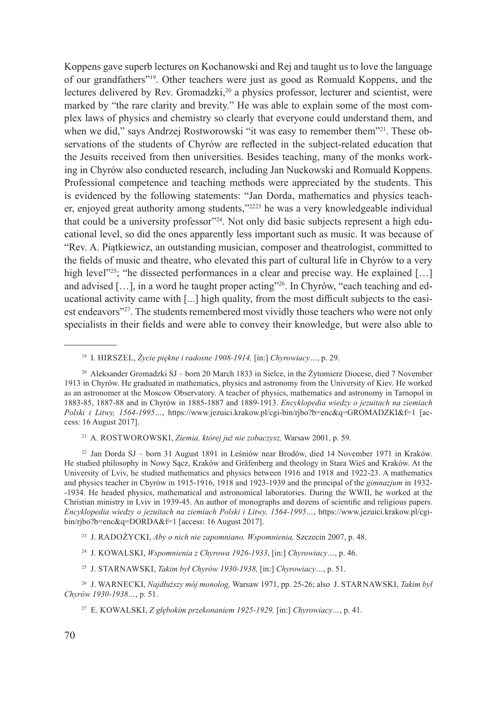Koppens gave superb lectures on Kochanowski and Rej and taught us to love the language of our grandfathers"<sup>19</sup>. Other teachers were just as good as Romuald Koppens, and the lectures delivered by Rev. Gromadzki,<sup>20</sup> a physics professor, lecturer and scientist, were marked by "the rare clarity and brevity." He was able to explain some of the most complex laws of physics and chemistry so clearly that everyone could understand them, and when we did," says Andrzej Rostworowski "it was easy to remember them"<sup>21</sup>. These observations of the students of Chyrów are reflected in the subject-related education that the Jesuits received from then universities. Besides teaching, many of the monks working in Chyrów also conducted research, including Jan Nuckowski and Romuald Koppens. Professional competence and teaching methods were appreciated by the students. This is evidenced by the following statements: "Jan Dorda, mathematics and physics teacher, enjoyed great authority among students,"2223 he was a very knowledgeable individual that could be a university professor"<sup>24</sup>. Not only did basic subjects represent a high educational level, so did the ones apparently less important such as music. It was because of "Rev. A. Piątkiewicz, an outstanding musician, composer and theatrologist, committed to the fields of music and theatre, who elevated this part of cultural life in Chyrów to a very high level $2^{25}$ ; "he dissected performances in a clear and precise way. He explained [...] and advised [...], in a word he taught proper acting"<sup>26</sup>. In Chyrów, "each teaching and educational activity came with [...] high quality, from the most difficult subjects to the easiest endeavors"27. The students remembered most vividly those teachers who were not only specialists in their fields and were able to convey their knowledge, but were also able to

<sup>21</sup> A. ROSTWOROWSKI, *Ziemia, której już nie zobaczysz*, Warsaw 2001, p. 59.

<sup>22</sup> Jan Dorda SJ – born 31 August 1891 in Leśniów near Brodów, died 14 November 1971 in Kraków. He studied philosophy in Nowy Sącz, Kraków and Gräfenberg and theology in Stara Wieś and Kraków. At the University of Lviv, he studied mathematics and physics between 1916 and 1918 and 1922-23. A mathematics and physics teacher in Chyrów in 1915-1916, 1918 and 1923-1939 and the principal of the *gimnazjum* in 1932- -1934. He headed physics, mathematical and astronomical laboratories. During the WWII, he worked at the Christian ministry in Lviv in 1939-45. An author of monographs and dozens of scientific and religious papers. *Encyklopedia wiedzy o jezuitach na ziemiach Polski i Litwy, 1564-1995…*, https://www.jezuici.krakow.pl/cgibin/rjbo?b=enc&q=DORDA&f=1 [access: 16 August 2017].

<sup>23</sup> J. Radożycki, *Aby o nich nie zapomniano. Wspomnienia,* Szczecin 2007, p. 48.

<sup>24</sup> J. Kowalski, *Wspomnienia z Chyrowa 1926-1933*, [in:] *Chyrowiacy…*, p. 46.

<sup>25</sup> J. Starnawski, *Takim był Chyrów 1930-1938,* [in:] *Chyrowiacy…*, p. 51.

<sup>26</sup> J. Warnecki, *Najdłuższy mój monolog,* Warsaw 1971, pp. 25-26; also J. Starnawski, *Takim był Chyrów 1930-1938…*, p. 51.

<sup>27</sup> E. Kowalski, *Z głębokim przekonaniem 1925-1929,* [in:] *Chyrowiacy…*, p. 41.

<sup>19</sup> I. Hirszel, *Życie piękne i radosne 1908-1914,* [in:] *Chyrowiacy…*, p. 29.

<sup>20</sup> Aleksander Gromadzki SJ – born 20 March 1833 in Sielce, in the Żytomierz Diocese, died 7 November 1913 in Chyrów. He graduated in mathematics, physics and astronomy from the University of Kiev. He worked as an astronomer at the Moscow Observatory. A teacher of physics, mathematics and astronomy in Tarnopol in 1883-85, 1887-88 and in Chyrów in 1885-1887 and 1889-1913. *Encyklopedia wiedzy o jezuitach na ziemiach Polski i Litwy, 1564-1995…*, https://www.jezuici.krakow.pl/cgi-bin/rjbo?b=enc&q=GROMADZKI&f=1 [access: 16 August 2017].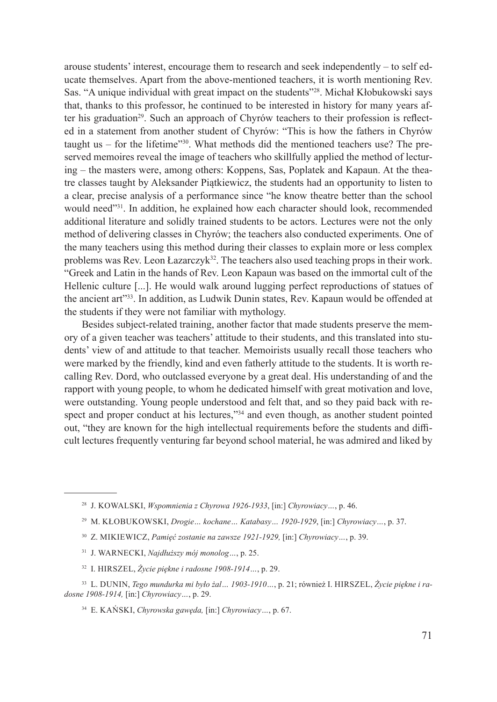arouse students' interest, encourage them to research and seek independently – to self educate themselves. Apart from the above-mentioned teachers, it is worth mentioning Rev. Sas. "A unique individual with great impact on the students"<sup>28</sup>. Michał Kłobukowski says that, thanks to this professor, he continued to be interested in history for many years after his graduation<sup>29</sup>. Such an approach of Chyrów teachers to their profession is reflected in a statement from another student of Chyrów: "This is how the fathers in Chyrów taught us – for the lifetime $"30$ . What methods did the mentioned teachers use? The preserved memoires reveal the image of teachers who skillfully applied the method of lecturing – the masters were, among others: Koppens, Sas, Poplatek and Kapaun. At the theatre classes taught by Aleksander Piątkiewicz, the students had an opportunity to listen to a clear, precise analysis of a performance since "he know theatre better than the school would need"<sup>31</sup>. In addition, he explained how each character should look, recommended additional literature and solidly trained students to be actors. Lectures were not the only method of delivering classes in Chyrów; the teachers also conducted experiments. One of the many teachers using this method during their classes to explain more or less complex problems was Rev. Leon Łazarczy $k^{32}$ . The teachers also used teaching props in their work. "Greek and Latin in the hands of Rev. Leon Kapaun was based on the immortal cult of the Hellenic culture [...]. He would walk around lugging perfect reproductions of statues of the ancient art"<sup>33</sup>. In addition, as Ludwik Dunin states, Rev. Kapaun would be offended at the students if they were not familiar with mythology.

Besides subject-related training, another factor that made students preserve the memory of a given teacher was teachers' attitude to their students, and this translated into students' view of and attitude to that teacher. Memoirists usually recall those teachers who were marked by the friendly, kind and even fatherly attitude to the students. It is worth recalling Rev. Dord, who outclassed everyone by a great deal. His understanding of and the rapport with young people, to whom he dedicated himself with great motivation and love, were outstanding. Young people understood and felt that, and so they paid back with respect and proper conduct at his lectures,"<sup>34</sup> and even though, as another student pointed out, "they are known for the high intellectual requirements before the students and difficult lectures frequently venturing far beyond school material, he was admired and liked by

- 30 Z. Mikiewicz, *Pamięć zostanie na zawsze 1921-1929,* [in:] *Chyrowiacy…*, p. 39.
- <sup>31</sup> J. Warnecki, *Najdłuższy mój monolog…*, p. 25.
- <sup>32</sup> I. Hirszel, *Życie piękne i radosne 1908-1914…*, p. 29.

<sup>28</sup> J. Kowalski, *Wspomnienia z Chyrowa 1926-1933*, [in:] *Chyrowiacy…*, p. 46.

<sup>29</sup> M. Kłobukowski, *Drogie… kochane… Katabasy… 1920-1929*, [in:] *Chyrowiacy…*, p. 37.

<sup>33</sup> L. Dunin, *Tego mundurka mi było żal… 1903-1910…*, p. 21; również I. Hirszel, *Życie piękne i radosne 1908-1914,* [in:] *Chyrowiacy…*, p. 29.

<sup>34</sup> E. Kański, *Chyrowska gawęda,* [in:] *Chyrowiacy…*, p. 67.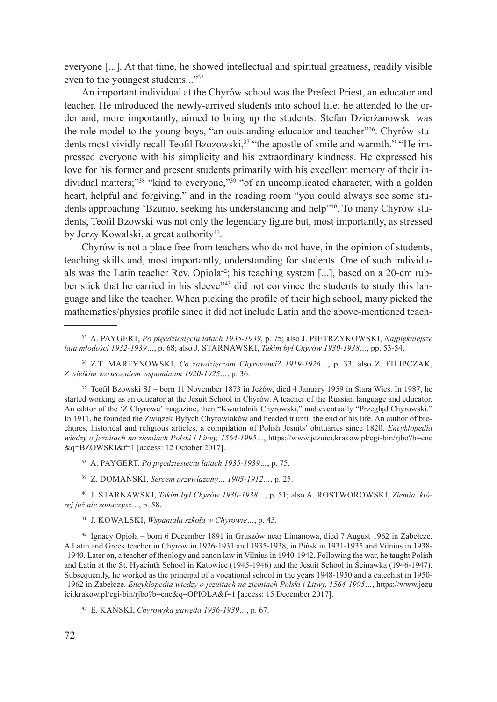everyone [...]. At that time, he showed intellectual and spiritual greatness, readily visible even to the youngest students..."<sup>35</sup>

An important individual at the Chyrów school was the Prefect Priest, an educator and teacher. He introduced the newly-arrived students into school life; he attended to the order and, more importantly, aimed to bring up the students. Stefan Dzierżanowski was the role model to the young boys, "an outstanding educator and teacher"<sup>36</sup>. Chyrów students most vividly recall Teofil Bzozowski,<sup>37</sup> "the apostle of smile and warmth." "He impressed everyone with his simplicity and his extraordinary kindness. He expressed his love for his former and present students primarily with his excellent memory of their individual matters;"<sup>38</sup> "kind to everyone,"<sup>39</sup> "of an uncomplicated character, with a golden heart, helpful and forgiving," and in the reading room "you could always see some students approaching 'Bzunio, seeking his understanding and help"40. To many Chyrów students, Teofil Bzowski was not only the legendary figure but, most importantly, as stressed by Jerzy Kowalski, a great authority<sup>41</sup>.

Chyrów is not a place free from teachers who do not have, in the opinion of students, teaching skills and, most importantly, understanding for students. One of such individuals was the Latin teacher Rev. Opioła<sup>42</sup>; his teaching system [...], based on a 20-cm rubber stick that he carried in his sleeve"<sup>43</sup> did not convince the students to study this language and like the teacher. When picking the profile of their high school, many picked the mathematics/physics profile since it did not include Latin and the above-mentioned teach-

<sup>38</sup> A. Paygert, *Po pięćdziesięciu latach 1935-1939…*, p. 75.

39 Z. Domański, *Sercem przywiązany… 1903-1912…*, p. 25.

<sup>40</sup> J. Starnawski, *Takim był Chyrów 1930-1938…*, p. 51; also A. Rostworowski, *Ziemia, której już nie zobaczysz…*, p. 58.

<sup>41</sup> J. Kowalski, *Wspaniała szkoła w Chyrowie…*, p. 45.

42 Ignacy Opioła – born 6 December 1891 in Gruszów near Limanowa, died 7 August 1962 in Zabełcze. A Latin and Greek teacher in Chyrów in 1926-1931 and 1935-1938, in Pińsk in 1931-1935 and Vilnius in 1938- -1940. Later on, a teacher of theology and canon law in Vilnius in 1940-1942. Following the war, he taught Polish and Latin at the St. Hyacinth School in Katowice (1945-1946) and the Jesuit School in Ścinawka (1946-1947). Subsequently, he worked as the principal of a vocational school in the years 1948-1950 and a catechist in 1950- -1962 in Zabełcze. *Encyklopedia wiedzy o jezuitach na ziemiach Polski i Litwy, 1564-1995…*, https://www.jezu ici.krakow.pl/cgi-bin/rjbo?b=enc&q=OPIOLA&f=1 [access: 15 December 2017].

<sup>43</sup> E. Kański, *Chyrowska gawęda 1936-1939…*, p. 67.

<sup>35</sup> A. Paygert, *Po pięćdziesięciu latach 1935-1939*, p. 75; also J. Pietrzykowski, *Najpiękniejsze lata młodości 1932-1939…*, p. 68; also J. Starnawski, *Takim był Chyrów 1930-1938…*, pp. 53-54.

<sup>36</sup> Z.T. Martynowski, *Co zawdzięczam Chyrowowi? 1919-1926…*, p. 33; also Z. Filipczak, *Z wielkim wzruszeniem wspominam 1920-1925…*, p. 36.

<sup>37</sup> Teofil Bzowski SJ – born 11 November 1873 in Jeżów, died 4 January 1959 in Stara Wieś. In 1987, he started working as an educator at the Jesuit School in Chyrów. A teacher of the Russian language and educator. An editor of the 'Z Chyrowa' magazine, then "Kwartalnik Chyrowski," and eventually "Przegląd Chyrowski." In 1911, he founded the Związek Byłych Chyrowiaków and headed it until the end of his life. An author of brochures, historical and religious articles, a compilation of Polish Jesuits' obituaries since 1820. *Encyklopedia wiedzy o jezuitach na ziemiach Polski i Litwy, 1564-1995…*, https://www.jezuici.krakow.pl/cgi-bin/rjbo?b=enc &q=BZOWSKI&f=1 [access: 12 October 2017].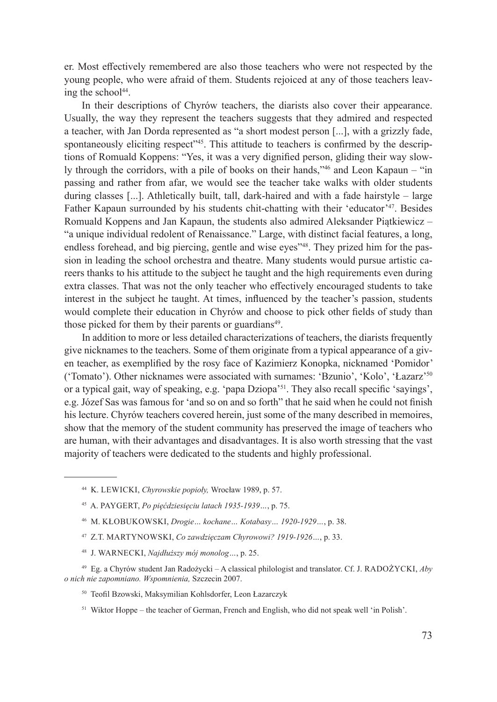er. Most effectively remembered are also those teachers who were not respected by the young people, who were afraid of them. Students rejoiced at any of those teachers leaving the school<sup>44</sup>.

In their descriptions of Chyrów teachers, the diarists also cover their appearance. Usually, the way they represent the teachers suggests that they admired and respected a teacher, with Jan Dorda represented as "a short modest person [...], with a grizzly fade, spontaneously eliciting respect<sup>345</sup>. This attitude to teachers is confirmed by the descriptions of Romuald Koppens: "Yes, it was a very dignified person, gliding their way slowly through the corridors, with a pile of books on their hands,"46 and Leon Kapaun – "in passing and rather from afar, we would see the teacher take walks with older students during classes [...]. Athletically built, tall, dark-haired and with a fade hairstyle – large Father Kapaun surrounded by his students chit-chatting with their 'educator'<sup>47</sup>. Besides Romuald Koppens and Jan Kapaun, the students also admired Aleksander Piątkiewicz – "a unique individual redolent of Renaissance." Large, with distinct facial features, a long, endless forehead, and big piercing, gentle and wise eyes<sup>748</sup>. They prized him for the passion in leading the school orchestra and theatre. Many students would pursue artistic careers thanks to his attitude to the subject he taught and the high requirements even during extra classes. That was not the only teacher who effectively encouraged students to take interest in the subject he taught. At times, influenced by the teacher's passion, students would complete their education in Chyrów and choose to pick other fields of study than those picked for them by their parents or guardians<sup>49</sup>.

In addition to more or less detailed characterizations of teachers, the diarists frequently give nicknames to the teachers. Some of them originate from a typical appearance of a given teacher, as exemplified by the rosy face of Kazimierz Konopka, nicknamed 'Pomidor' ('Tomato'). Other nicknames were associated with surnames: 'Bzunio', 'Kolo', 'Łazarz'<sup>50</sup> or a typical gait, way of speaking, e.g. 'papa Dziopa'51. They also recall specific 'sayings', e.g. Józef Sas was famous for 'and so on and so forth" that he said when he could not finish his lecture. Chyrów teachers covered herein, just some of the many described in memoires, show that the memory of the student community has preserved the image of teachers who are human, with their advantages and disadvantages. It is also worth stressing that the vast majority of teachers were dedicated to the students and highly professional.

- <sup>47</sup> Z.T. Martynowski, *Co zawdzięczam Chyrowowi? 1919-1926…*, p. 33.
- <sup>48</sup> J. Warnecki, *Najdłuższy mój monolog…*, p. 25.

- <sup>50</sup> Teofil Bzowski, Maksymilian Kohlsdorfer, Leon Łazarczyk
- <sup>51</sup> Wiktor Hoppe the teacher of German, French and English, who did not speak well 'in Polish'.

<sup>44</sup> K. Lewicki, *Chyrowskie popioły,* Wrocław 1989, p. 57.

<sup>45</sup> A. Paygert, *Po pięćdziesięciu latach 1935-1939…*, p. 75.

<sup>46</sup> M. Kłobukowski, *Drogie… kochane… Kotabasy… 1920-1929…*, p. 38.

<sup>49</sup> Eg. a Chyrów student Jan Radożycki – A classical philologist and translator. Cf. J. Radożycki, *Aby o nich nie zapomniano. Wspomnienia,* Szczecin 2007.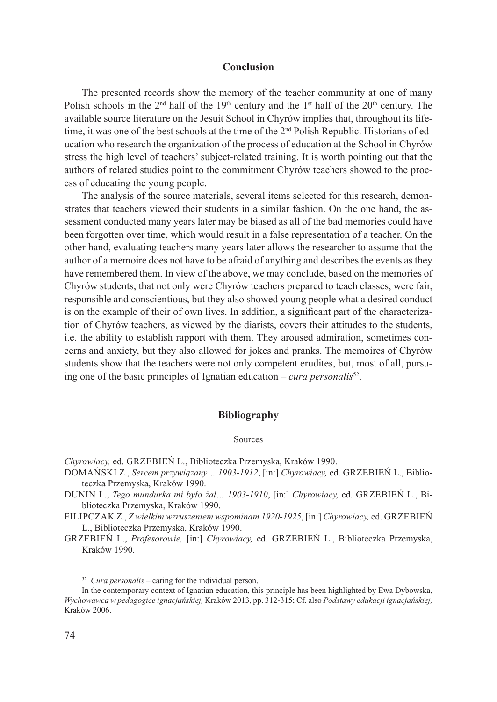## **Conclusion**

The presented records show the memory of the teacher community at one of many Polish schools in the  $2<sup>nd</sup>$  half of the 19<sup>th</sup> century and the 1<sup>st</sup> half of the  $20<sup>th</sup>$  century. The available source literature on the Jesuit School in Chyrów implies that, throughout its lifetime, it was one of the best schools at the time of the 2<sup>nd</sup> Polish Republic. Historians of education who research the organization of the process of education at the School in Chyrów stress the high level of teachers' subject-related training. It is worth pointing out that the authors of related studies point to the commitment Chyrów teachers showed to the process of educating the young people.

The analysis of the source materials, several items selected for this research, demonstrates that teachers viewed their students in a similar fashion. On the one hand, the assessment conducted many years later may be biased as all of the bad memories could have been forgotten over time, which would result in a false representation of a teacher. On the other hand, evaluating teachers many years later allows the researcher to assume that the author of a memoire does not have to be afraid of anything and describes the events as they have remembered them. In view of the above, we may conclude, based on the memories of Chyrów students, that not only were Chyrów teachers prepared to teach classes, were fair, responsible and conscientious, but they also showed young people what a desired conduct is on the example of their of own lives. In addition, a significant part of the characterization of Chyrów teachers, as viewed by the diarists, covers their attitudes to the students, i.e. the ability to establish rapport with them. They aroused admiration, sometimes concerns and anxiety, but they also allowed for jokes and pranks. The memoires of Chyrów students show that the teachers were not only competent erudites, but, most of all, pursuing one of the basic principles of Ignatian education – *cura personalis*<sup>52</sup>.

## **Bibliography**

#### Sources

- *Chyrowiacy,* ed. Grzebień L., Biblioteczka Przemyska, Kraków 1990.
- Domański Z., *Sercem przywiązany… 1903-1912*, [in:] *Chyrowiacy,* ed. Grzebień L., Biblioteczka Przemyska, Kraków 1990.
- Dunin L., *Tego mundurka mi było żal… 1903-1910*, [in:] *Chyrowiacy,* ed. Grzebień L., Biblioteczka Przemyska, Kraków 1990.
- Filipczak Z., *Z wielkim wzruszeniem wspominam 1920-1925*, [in:] *Chyrowiacy,* ed. Grzebień L., Biblioteczka Przemyska, Kraków 1990.

Grzebień L., *Profesorowie,* [in:] *Chyrowiacy,* ed. Grzebień L., Biblioteczka Przemyska, Kraków 1990.

<sup>52</sup> *Cura personalis* – caring for the individual person.

In the contemporary context of Ignatian education, this principle has been highlighted by Ewa Dybowska, *Wychowawca w pedagogice ignacjańskiej,* Kraków 2013, pp. 312-315; Cf. also *Podstawy edukacji ignacjańskiej,*  Kraków 2006.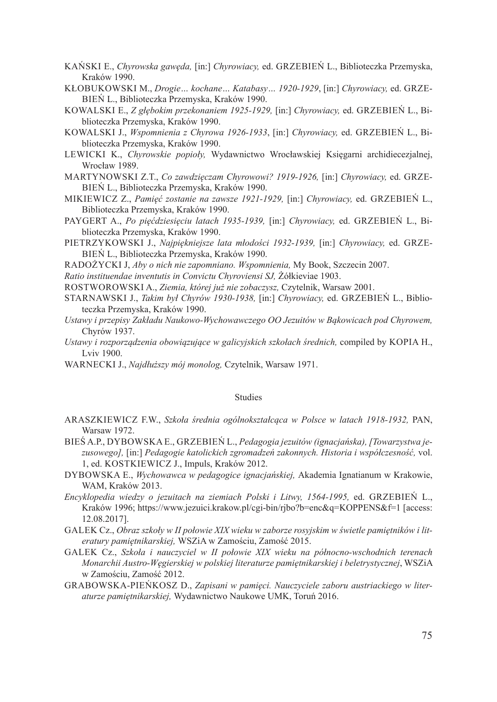- Kański E., *Chyrowska gawęda,* [in:] *Chyrowiacy,* ed. Grzebień L., Biblioteczka Przemyska, Kraków 1990.
- Kłobukowski M., *Drogie… kochane… Katabasy… 1920-1929*, [in:] *Chyrowiacy,* ed. Grzebień L., Biblioteczka Przemyska, Kraków 1990.
- Kowalski E., *Z głębokim przekonaniem 1925-1929,* [in:] *Chyrowiacy,* ed. Grzebień L., Biblioteczka Przemyska, Kraków 1990.
- Kowalski J., *Wspomnienia z Chyrowa 1926-1933*, [in:] *Chyrowiacy,* ed. Grzebień L., Biblioteczka Przemyska, Kraków 1990.
- Lewicki K., *Chyrowskie popioły,* Wydawnictwo Wrocławskiej Księgarni archidiecezjalnej, Wrocław 1989.
- Martynowski Z.T., *Co zawdzięczam Chyrowowi? 1919-1926,* [in:] *Chyrowiacy,* ed. Grzebień L., Biblioteczka Przemyska, Kraków 1990.
- Mikiewicz Z., *Pamięć zostanie na zawsze 1921-1929,* [in:] *Chyrowiacy,* ed. Grzebień L., Biblioteczka Przemyska, Kraków 1990.
- PAYGERT A., Po pięćdziesięciu latach 1935-1939, [in:] Chyrowiacy, ed. GRZEBIEŃ L., Biblioteczka Przemyska, Kraków 1990.
- Pietrzykowski J., *Najpiękniejsze lata młodości 1932-1939,* [in:] *Chyrowiacy,* ed. Grzebień L., Biblioteczka Przemyska, Kraków 1990.
- Radożycki J, *Aby o nich nie zapomniano. Wspomnienia,* My Book, Szczecin 2007.
- *Ratio instituendae inventutis in Convictu Chyroviensi SJ,* Żółkieviae 1903.
- Rostworowski A., *Ziemia, której już nie zobaczysz,* Czytelnik, Warsaw 2001.
- Starnawski J., *Takim był Chyrów 1930-1938,* [in:] *Chyrowiacy,* ed. Grzebień L., Biblioteczka Przemyska, Kraków 1990.
- *Ustawy i przepisy Zakładu Naukowo-Wychowawczego OO Jezuitów w Bąkowicach pod Chyrowem,*  Chyrów 1937.
- *Ustawy i rozporządzenia obowiązujące w galicyjskich szkołach średnich,* compiled by Kopia H., Lviv 1900.
- WARNECKI J., *Najdłuższy mój monolog*, Czytelnik, Warsaw 1971.

#### Studies

- Araszkiewicz F.W., *Szkoła średnia ogólnokształcąca w Polsce w latach 1918-1932,* PAN, Warsaw 1972.
- Bieś A.P., Dybowska E., Grzebień L., *Pedagogia jezuitów (ignacjańska), [Towarzystwa jezusowego],* [in:] *Pedagogie katolickich zgromadzeń zakonnych. Historia i współczesność,* vol. 1, ed. Kostkiewicz J., Impuls, Kraków 2012.
- Dybowska E., *Wychowawca w pedagogice ignacjańskiej,* Akademia Ignatianum w Krakowie, WAM, Kraków 2013.
- *Encyklopedia wiedzy o jezuitach na ziemiach Polski i Litwy, 1564-1995,* ed. Grzebień L., Kraków 1996; https://www.jezuici.krakow.pl/cgi-bin/rjbo?b=enc&q=KOPPENS&f=1 [access: 12.08.2017].
- Galek Cz., *Obraz szkoły w II połowie XIX wieku w zaborze rosyjskim w świetle pamiętników i literatury pamiętnikarskiej,* WSZiA w Zamościu, Zamość 2015.
- GALEK Cz., Szkoła i nauczyciel w II połowie XIX wieku na północno-wschodnich terenach *Monarchii Austro-Węgierskiej w polskiej literaturze pamiętnikarskiej i beletrystycznej*, WSZiA w Zamościu, Zamość 2012.
- Grabowska-Pieńkosz D., *Zapisani w pamięci. Nauczyciele zaboru austriackiego w literaturze pamiętnikarskiej,* Wydawnictwo Naukowe UMK, Toruń 2016.